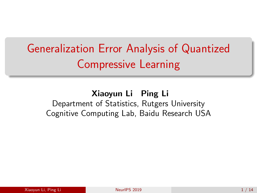# <span id="page-0-0"></span>Generalization Error Analysis of Quantized Compressive Learning

Xiaoyun Li Ping Li Department of Statistics, Rutgers University Cognitive Computing Lab, Baidu Research USA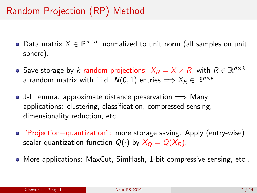## Random Projection (RP) Method

- Data matrix  $X \in \mathbb{R}^{n \times d}$ , normalized to unit norm (all samples on unit sphere).
- Save storage by  $k$  random projections:  $X_R = X \times R$ , with  $R \in \mathbb{R}^{d \times k}$ a random matrix with i.i.d.  $\mathcal{N}(0,1)$  entries  $\Longrightarrow X_{\mathcal{R}}\in\mathbb{R}^{n\times k}.$
- J-L lemma: approximate distance preservation  $\implies$  Many applications: clustering, classification, compressed sensing, dimensionality reduction, etc..
- "Projection+quantization": more storage saving. Apply (entry-wise) scalar quantization function  $Q(\cdot)$  by  $X_Q = Q(X_R)$ .
- More applications: MaxCut, SimHash, 1-bit compressive sensing, etc..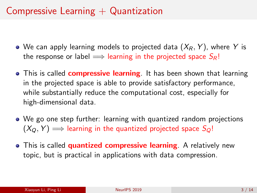## Compressive Learning  $+$  Quantization

- We can apply learning models to projected data  $(X_R, Y)$ , where Y is the response or label  $\implies$  learning in the projected space  $S_R!$
- This is called **compressive learning**. It has been shown that learning in the projected space is able to provide satisfactory performance, while substantially reduce the computational cost, especially for high-dimensional data.
- We go one step further: learning with quantized random projections  $(X<sub>O</sub>, Y) \implies$  learning in the quantized projected space  $S<sub>O</sub>!$
- This is called **quantized compressive learning**. A relatively new topic, but is practical in applications with data compression.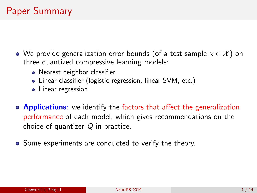- We provide generalization error bounds (of a test sample  $x \in \mathcal{X}$ ) on three quantized compressive learning models:
	- Nearest neighbor classifier
	- Linear classifier (logistic regression, linear SVM, etc.)
	- Linear regression
- **Applications:** we identify the factors that affect the generalization performance of each model, which gives recommendations on the choice of quantizer  $Q$  in practice.
- Some experiments are conducted to verify the theory.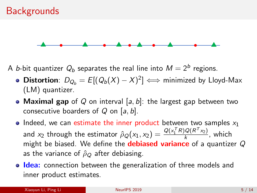

A *b*-bit quantizer  $Q_b$  separates the real line into  $M=2^b$  regions.

- **Distortion**:  $D_{Q_b} = E[(Q_b(X) X)^2] \iff$  minimized by Lloyd-Max (LM) quantizer.
- Maximal gap of Q on interval [a, b]: the largest gap between two consecutive boarders of  $Q$  on [a, b].
- Indeed, we can estimate the inner product between two samples  $x_1$ and  $x_2$  through the estimator  $\hat{\rho}_Q(x_1, x_2) = \frac{Q(x_1^TR)Q(R^Tx_2)}{k}$  $\frac{\sqrt{(N-X_2)}}{k}$ , which might be biased. We define the **debiased variance** of a quantizer  $Q$ as the variance of  $\hat{\rho}_Q$  after debiasing.
- **Idea:** connection between the generalization of three models and inner product estimates.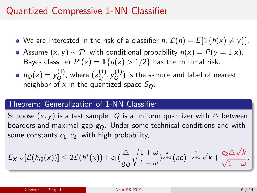## Quantized Compressive 1-NN Classifier

- We are interested in the risk of a classifier h,  $\mathcal{L}(h) = E[1\{h(x) \neq y\}]$ .
- Assume  $(x, y) \sim \mathcal{D}$ , with conditional probability  $\eta(x) = P(y = 1|x)$ . Bayes classifier  $h^*(x) = \mathbb{1}{\{\eta(x) > 1/2\}}$  has the minimal risk.
- $h_Q(x) = y_Q^{(1)}$  $\mathcal{L}_Q^{(1)}$ , where  $\left(x_Q^{(1)}\right)$  $\stackrel{(1)}{Q}, \stackrel{(1)}{V_Q}$  $\binom{1}{Q}$  is the sample and label of nearest neighbor of x in the quantized space  $S_Q$ .

#### Theorem: Generalization of 1-NN Classifier

Suppose  $(x, y)$  is a test sample. Q is a uniform quantizer with  $\triangle$  between boarders and maximal gap  $g_Q$ . Under some technical conditions and with some constants  $c_1, c_2$ , with high probability,

$$
E_{X,Y}[\mathcal{L}(h_Q(x))] \leq 2\mathcal{L}(h^*(x)) + c_1(\frac{\triangle}{g_Q}\sqrt{\frac{1+\omega}{1-\omega}})^{\frac{k}{k+1}}(ne)^{-\frac{1}{k+1}}\sqrt{k} + \frac{c_2\triangle\sqrt{k}}{\sqrt{1-\omega}}.
$$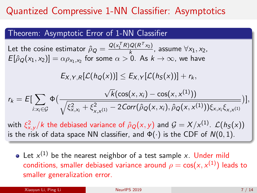## Quantized Compressive 1-NN Classifier: Asymptotics

#### Theorem: Asymptotic Error of 1-NN Classifier

Let the cosine estimator  $\hat{\rho}_Q = \frac{Q(x_1^TR)Q(R^Tx_2)}{k}$  $\frac{Q(N-1)}{k}$ , assume  $\forall x_1, x_2$ ,  $\mathcal{E}[\hat{\rho}_{Q}(\mathsf{x}_1, \mathsf{x}_2)] = \alpha \rho_{\mathsf{x}_1, \mathsf{x}_2}$  for some  $\alpha > 0$ . As  $k \to \infty$ , we have

$$
E_{X,Y,R}[\mathcal{L}(h_Q(x))] \leq E_{X,Y}[\mathcal{L}(h_S(x))] + r_k,
$$

$$
r_k = E[\sum_{i:x_i \in \mathcal{G}} \Phi\big(\frac{\sqrt{k}(\cos(x, x_i) - \cos(x, x^{(1)}))}{\sqrt{\xi_{x,x_i}^2 + \xi_{x,x^{(1)}}^2 - 2\text{Corr}(\hat{\rho}_{Q}(x, x_i), \hat{\rho}_{Q}(x, x^{(1)}))\xi_{x,x_i}\xi_{x,x^{(1)}}}}\big)],
$$

with  $\xi^2_{x,y}/k$  the debiased variance of  $\hat{\rho}_Q(x,y)$  and  $\mathcal{G}=X/x^{(1)}$ .  $\mathcal{L}(h_S(x))$ is the risk of data space NN classifier, and  $\Phi(\cdot)$  is the CDF of  $N(0, 1)$ .

Let  $x^{(1)}$  be the nearest neighbor of a test sample  $x$ . Under mild conditions, smaller debiased variance around  $\rho = \cos(x,x^{(1)})$  leads to smaller generalization error.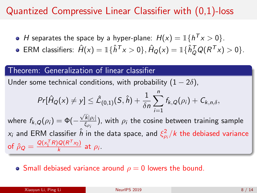## Quantized Compressive Linear Classifier with (0,1)-loss

- H separates the space by a hyper-plane:  $H(x) = \mathbb{1}\{h^T x > 0\}.$
- ERM classifiers:  $\hat{H}(x) = \mathbb{I}\{\hat{h}^T x > 0\}, \hat{H}_Q(x) = \mathbb{I}\{\hat{h}_Q^T Q (R^T x) > 0\}.$

#### Theorem: Generalization of linear classifier

Under some technical conditions, with probability  $(1 - 2\delta)$ ,

$$
Pr[\hat{H}_Q(x) \neq y] \leq \hat{\mathcal{L}}_{(0,1)}(S,\hat{h}) + \frac{1}{\delta n} \sum_{i=1}^n f_{k,Q}(\rho_i) + C_{k,n,\delta},
$$

where  $f_{k,Q}(\rho_i)=\Phi(-\rho_i)$  $\sqrt{k}|\rho_i|$  $\frac{\kappa_{|D_i|}}{\xi_{\rho_i}}$ ), with  $\rho_i$  the cosine between training sample  $x_i$  and ERM classifier  $\hat{h}$  in the data space, and  $\xi_{\rho_i}^2/k$  the debiased variance of  $\hat{\rho}_Q = \frac{\mathcal{Q}(\mathsf{x}_1^\mathsf{T} R) \mathcal{Q}(R^\mathsf{T} \mathsf{x}_2)}{k}$  $\frac{\log(n-x_2)}{k}$  at  $\rho_i$ .

#### • Small debiased variance around  $\rho = 0$  lowers the bound.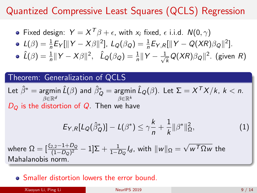## Quantized Compressive Least Squares (QCLS) Regression

• Fixed design: 
$$
Y = X^T \beta + \epsilon
$$
, with  $x_i$  fixed,  $\epsilon$  i.i.d.  $N(0, \gamma)$ 

$$
\bullet \ \ L(\beta) = \frac{1}{n} E_Y[\|Y - X\beta\|^2], \ L_Q(\beta_Q) = \frac{1}{n} E_{Y,R}[\|Y - Q(XR)\beta_Q\|^2].
$$

$$
\hat{L}(\beta) = \frac{1}{n} ||Y - X\beta||^2, \quad \hat{L}_Q(\beta_Q) = \frac{1}{n} ||Y - \frac{1}{\sqrt{k}}Q(XR)\beta_Q||^2. \text{ (given } R\text{)}
$$

#### Theorem: Generalization of QCLS

Let 
$$
\hat{\beta}^* = \underset{\beta \in \mathbb{R}^d}{\text{argmin }} \hat{L}(\beta)
$$
 and  $\hat{\beta}_{Q}^* = \underset{\beta \in \mathbb{R}^k}{\text{argmin }} \hat{L}_Q(\beta)$ . Let  $\Sigma = X^T X / k$ ,  $k < n$ .  
*D<sub>Q</sub>* is the distortion of *Q*. Then we have

$$
E_{Y,R}[L_Q(\hat{\beta}_Q^*)] - L(\beta^*) \leq \gamma \frac{k}{n} + \frac{1}{k} ||\beta^*||_{\Omega}^2,
$$
 (1)

where  $\Omega=[\frac{\xi_{2,2}-1+D_Q}{(1-D_Q)^2}-1]{\Sigma}+\frac{1}{1-D_Q}I_d$ , with  $\|w\|_{\Omega}=$ √  $w^{\mathcal{T}}\Omega w$  the Mahalanobis norm.

#### Smaller distortion lowers the error bound.

Xiaoyun Li, Ping Li Neurla Neurla Neurla 2019 14 and 2019 14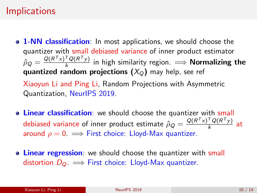#### **Implications**

**0 1-NN classification**: In most applications, we should choose the quantizer with small debiased variance of inner product estimator  $\hat{\rho}_Q = \frac{\mathsf{Q}(R^\mathsf{T} \mathsf{x})^\mathsf{T} \mathsf{Q}(R^\mathsf{T} \mathsf{y})}{k}$  $\frac{Q(N-y)}{k}$  in high similarity region.  $\implies$  **Normalizing the** quantized random projections  $(X<sub>O</sub>)$  may help, see ref Xiaoyun Li and Ping Li, Random Projections with Asymmetric

Quantization, NeurIPS 2019.

- **Example 2** Charanteedo Linear classification: we should choose the quantizer with small debiased variance of inner product estimate  $\hat{\rho}_Q = \frac{Q(R^Tx)^TQ(R^Ty)}{k}$  $\frac{Q(N-y)}{k}$  at around  $\rho = 0$ .  $\implies$  First choice: Lloyd-Max quantizer.
- **.** Linear regression: we should choose the quantizer with small distortion  $D_{\mathcal{O}} \implies$  First choice: Lloyd-Max quantizer.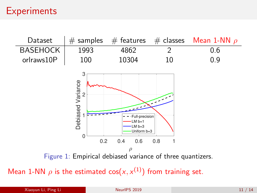## **Experiments**



Mean 1-NN  $\rho$  is the estimated cos $(x, x^{(1)})$  from training set.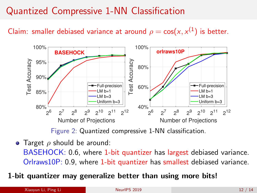## Quantized Compressive 1-NN Classification

Claim: smaller debiased variance at around  $\rho = \cos(x, x^{(1)})$  is better.



Figure 2: Quantized compressive 1-NN classification.

• Target  $\rho$  should be around: BASEHOCK: 0.6, where 1-bit quantizer has largest debiased variance. Orlraws10P: 0.9, where 1-bit quantizer has smallest debiased variance.

#### 1-bit quantizer may generalize better than using more bits!

Xiaoyun Li, Ping Li Neuro 12 / 14 Neuro 12 / 14 Neuro 12 / 14 Neuro 12 / 14 Neuro 12 / 14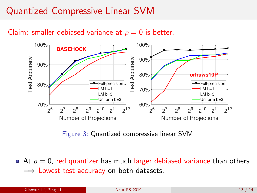## Quantized Compressive Linear SVM





Figure 3: Quantized compressive linear SVM.

• At  $\rho = 0$ , red quantizer has much larger debiased variance than others  $\implies$  Lowest test accuracy on both datasets.

| Xiaovun Li, Ping Li | NeurlPS 2019 | 13/14 |
|---------------------|--------------|-------|
|                     |              |       |